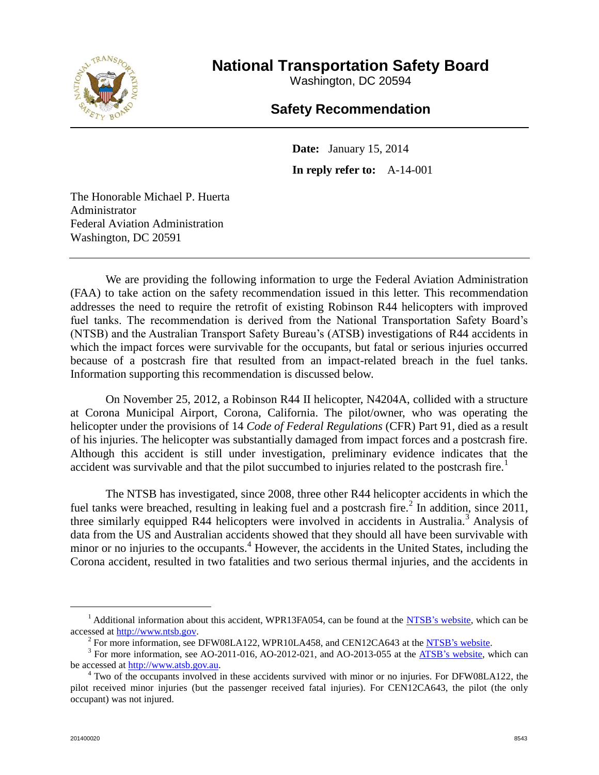

**National Transportation Safety Board**

Washington, DC 20594

## **Safety Recommendation**

**Date:** January 15, 2014 **In reply refer to:** A-14-001

The Honorable Michael P. Huerta Administrator Federal Aviation Administration Washington, DC 20591

We are providing the following information to urge the Federal Aviation Administration (FAA) to take action on the safety recommendation issued in this letter. This recommendation addresses the need to require the retrofit of existing Robinson R44 helicopters with improved fuel tanks. The recommendation is derived from the National Transportation Safety Board's (NTSB) and the Australian Transport Safety Bureau's (ATSB) investigations of R44 accidents in which the impact forces were survivable for the occupants, but fatal or serious injuries occurred because of a postcrash fire that resulted from an impact-related breach in the fuel tanks. Information supporting this recommendation is discussed below.

On November 25, 2012, a Robinson R44 II helicopter, N4204A, collided with a structure at Corona Municipal Airport, Corona, California. The pilot/owner, who was operating the helicopter under the provisions of 14 *Code of Federal Regulations* (CFR) Part 91, died as a result of his injuries. The helicopter was substantially damaged from impact forces and a postcrash fire. Although this accident is still under investigation, preliminary evidence indicates that the accident was survivable and that the pilot succumbed to injuries related to the postcrash fire.<sup>1</sup>

The NTSB has investigated, since 2008, three other R44 helicopter accidents in which the fuel tanks were breached, resulting in leaking fuel and a postcrash fire.<sup>2</sup> In addition, since 2011, three similarly equipped R44 helicopters were involved in accidents in Australia.<sup>3</sup> Analysis of data from the US and Australian accidents showed that they should all have been survivable with minor or no injuries to the occupants.<sup>4</sup> However, the accidents in the United States, including the Corona accident, resulted in two fatalities and two serious thermal injuries, and the accidents in

 $\overline{a}$ 

 $<sup>1</sup>$  Additional information about this accident, WPR13FA054, can be found at the [NTSB's website,](http://www.ntsb.gov/investigations/dms.html) which can be</sup> accessed at [http://www.ntsb.gov.](http://www.ntsb.gov/)

<sup>&</sup>lt;sup>2</sup> For more information, see DFW08LA122, WPR10LA458, and CEN12CA643 at the [NTSB's website.](http://www.ntsb.gov/investigations/dms.html)

<sup>&</sup>lt;sup>3</sup> For more information, see AO-2011-016, AO-2012-021, and AO-2013-055 at the **ATSB**'s website, which can be accessed at [http://www.atsb.gov.au.](http://www.atsb.gov.au/)

 $4$  Two of the occupants involved in these accidents survived with minor or no injuries. For DFW08LA122, the pilot received minor injuries (but the passenger received fatal injuries). For CEN12CA643, the pilot (the only occupant) was not injured.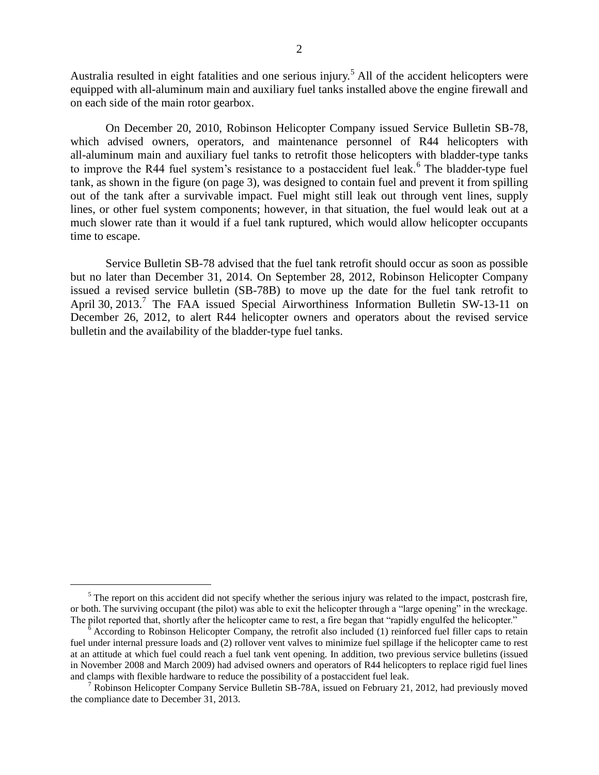Australia resulted in eight fatalities and one serious injury.<sup>5</sup> All of the accident helicopters were equipped with all-aluminum main and auxiliary fuel tanks installed above the engine firewall and on each side of the main rotor gearbox.

On December 20, 2010, Robinson Helicopter Company issued Service Bulletin SB-78, which advised owners, operators, and maintenance personnel of R44 helicopters with all-aluminum main and auxiliary fuel tanks to retrofit those helicopters with bladder-type tanks to improve the R44 fuel system's resistance to a postaccident fuel leak.<sup>6</sup> The bladder-type fuel tank, as shown in the figure (on page 3), was designed to contain fuel and prevent it from spilling out of the tank after a survivable impact. Fuel might still leak out through vent lines, supply lines, or other fuel system components; however, in that situation, the fuel would leak out at a much slower rate than it would if a fuel tank ruptured, which would allow helicopter occupants time to escape.

Service Bulletin SB-78 advised that the fuel tank retrofit should occur as soon as possible but no later than December 31, 2014. On September 28, 2012, Robinson Helicopter Company issued a revised service bulletin (SB-78B) to move up the date for the fuel tank retrofit to April 30, 2013.<sup>7</sup> The FAA issued Special Airworthiness Information Bulletin SW-13-11 on December 26, 2012, to alert R44 helicopter owners and operators about the revised service bulletin and the availability of the bladder-type fuel tanks.

 $\overline{a}$ 

 $<sup>5</sup>$  The report on this accident did not specify whether the serious injury was related to the impact, postcrash fire,</sup> or both. The surviving occupant (the pilot) was able to exit the helicopter through a "large opening" in the wreckage. The pilot reported that, shortly after the helicopter came to rest, a fire began that "rapidly engulfed the helicopter."

<sup>6</sup> According to Robinson Helicopter Company, the retrofit also included (1) reinforced fuel filler caps to retain fuel under internal pressure loads and (2) rollover vent valves to minimize fuel spillage if the helicopter came to rest at an attitude at which fuel could reach a fuel tank vent opening. In addition, two previous service bulletins (issued in November 2008 and March 2009) had advised owners and operators of R44 helicopters to replace rigid fuel lines and clamps with flexible hardware to reduce the possibility of a postaccident fuel leak.

<sup>&</sup>lt;sup>7</sup> Robinson Helicopter Company Service Bulletin SB-78A, issued on February 21, 2012, had previously moved the compliance date to December 31, 2013.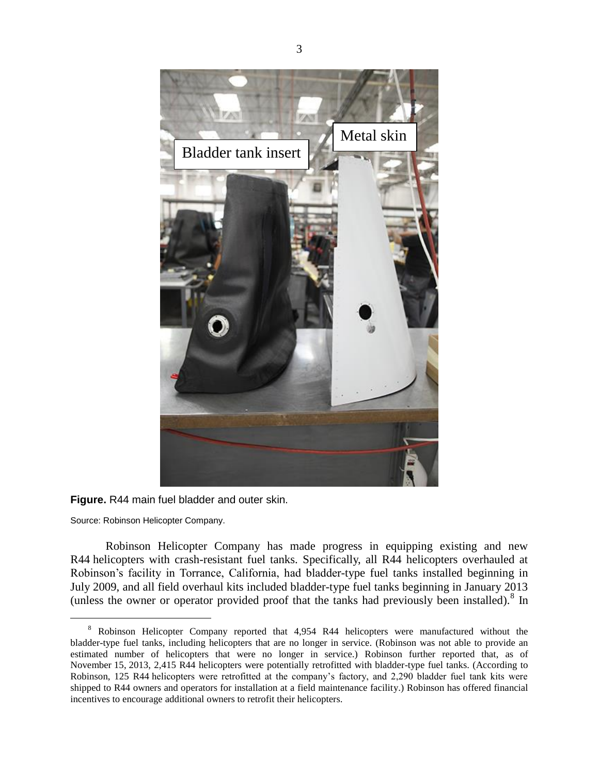

**Figure.** R44 main fuel bladder and outer skin.

Source: Robinson Helicopter Company.

 $\overline{a}$ 

Robinson Helicopter Company has made progress in equipping existing and new R44 helicopters with crash-resistant fuel tanks. Specifically, all R44 helicopters overhauled at Robinson's facility in Torrance, California, had bladder-type fuel tanks installed beginning in July 2009, and all field overhaul kits included bladder-type fuel tanks beginning in January 2013 (unless the owner or operator provided proof that the tanks had previously been installed).<sup>8</sup> In

<sup>&</sup>lt;sup>8</sup> Robinson Helicopter Company reported that 4,954 R44 helicopters were manufactured without the bladder-type fuel tanks, including helicopters that are no longer in service. (Robinson was not able to provide an estimated number of helicopters that were no longer in service.) Robinson further reported that, as of November 15, 2013, 2,415 R44 helicopters were potentially retrofitted with bladder-type fuel tanks. (According to Robinson, 125 R44 helicopters were retrofitted at the company's factory, and 2,290 bladder fuel tank kits were shipped to R44 owners and operators for installation at a field maintenance facility.) Robinson has offered financial incentives to encourage additional owners to retrofit their helicopters.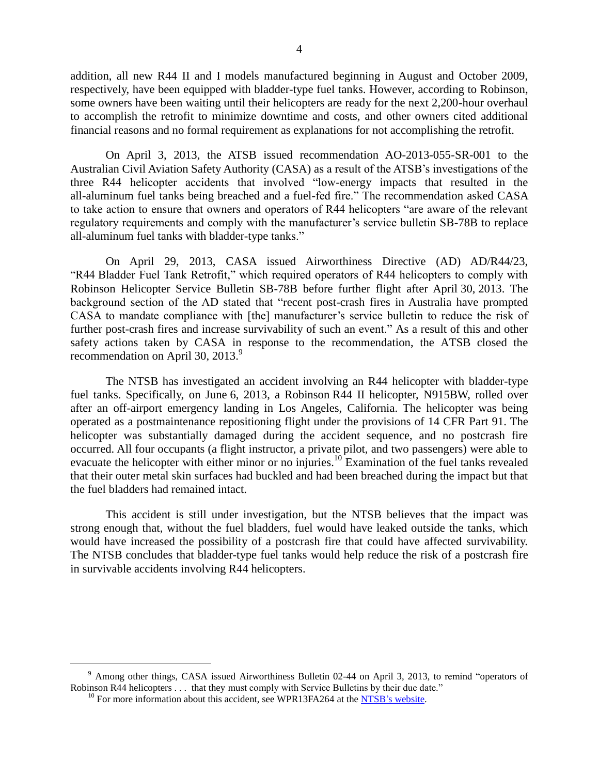addition, all new R44 II and I models manufactured beginning in August and October 2009, respectively, have been equipped with bladder-type fuel tanks. However, according to Robinson, some owners have been waiting until their helicopters are ready for the next 2,200-hour overhaul to accomplish the retrofit to minimize downtime and costs, and other owners cited additional financial reasons and no formal requirement as explanations for not accomplishing the retrofit.

On April 3, 2013, the ATSB issued recommendation AO-2013-055-SR-001 to the Australian Civil Aviation Safety Authority (CASA) as a result of the ATSB's investigations of the three R44 helicopter accidents that involved "low-energy impacts that resulted in the all-aluminum fuel tanks being breached and a fuel-fed fire." The recommendation asked CASA to take action to ensure that owners and operators of R44 helicopters "are aware of the relevant regulatory requirements and comply with the manufacturer's service bulletin SB-78B to replace all-aluminum fuel tanks with bladder-type tanks."

On April 29, 2013, CASA issued Airworthiness Directive (AD) AD/R44/23, "R44 Bladder Fuel Tank Retrofit," which required operators of R44 helicopters to comply with Robinson Helicopter Service Bulletin SB-78B before further flight after April 30, 2013. The background section of the AD stated that "recent post-crash fires in Australia have prompted CASA to mandate compliance with [the] manufacturer's service bulletin to reduce the risk of further post-crash fires and increase survivability of such an event." As a result of this and other safety actions taken by CASA in response to the recommendation, the ATSB closed the recommendation on April 30, 2013.<sup>9</sup>

The NTSB has investigated an accident involving an R44 helicopter with bladder-type fuel tanks. Specifically, on June 6, 2013, a Robinson R44 II helicopter, N915BW, rolled over after an off-airport emergency landing in Los Angeles, California. The helicopter was being operated as a postmaintenance repositioning flight under the provisions of 14 CFR Part 91. The helicopter was substantially damaged during the accident sequence, and no postcrash fire occurred. All four occupants (a flight instructor, a private pilot, and two passengers) were able to evacuate the helicopter with either minor or no injuries.<sup>10</sup> Examination of the fuel tanks revealed that their outer metal skin surfaces had buckled and had been breached during the impact but that the fuel bladders had remained intact.

This accident is still under investigation, but the NTSB believes that the impact was strong enough that, without the fuel bladders, fuel would have leaked outside the tanks, which would have increased the possibility of a postcrash fire that could have affected survivability. The NTSB concludes that bladder-type fuel tanks would help reduce the risk of a postcrash fire in survivable accidents involving R44 helicopters.

 $\overline{a}$ 

 $9$  Among other things, CASA issued Airworthiness Bulletin 02-44 on April 3, 2013, to remind "operators of Robinson R44 helicopters . . . that they must comply with Service Bulletins by their due date."

 $10$  For more information about this accident, see WPR13FA264 at the [NTSB's website.](http://www.ntsb.gov/investigations/dms.html)